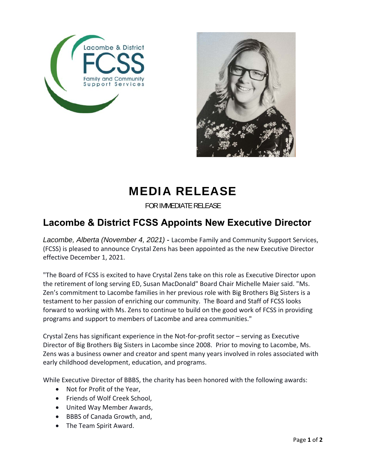



## MEDIA RELEASE

FOR IMMEDIATE RELEASE

## **Lacombe & District FCSS Appoints New Executive Director**

*Lacombe, Alberta (November 4, 2021)* - Lacombe Family and Community Support Services, (FCSS) is pleased to announce Crystal Zens has been appointed as the new Executive Director effective December 1, 2021.

"The Board of FCSS is excited to have Crystal Zens take on this role as Executive Director upon the retirement of long serving ED, Susan MacDonald" Board Chair Michelle Maier said. "Ms. Zen's commitment to Lacombe families in her previous role with Big Brothers Big Sisters is a testament to her passion of enriching our community. The Board and Staff of FCSS looks forward to working with Ms. Zens to continue to build on the good work of FCSS in providing programs and support to members of Lacombe and area communities."

Crystal Zens has significant experience in the Not‐for‐profit sector – serving as Executive Director of Big Brothers Big Sisters in Lacombe since 2008. Prior to moving to Lacombe, Ms. Zens was a business owner and creator and spent many years involved in roles associated with early childhood development, education, and programs.

While Executive Director of BBBS, the charity has been honored with the following awards:

- Not for Profit of the Year,
- Friends of Wolf Creek School.
- United Way Member Awards,
- BBBS of Canada Growth, and,
- The Team Spirit Award.